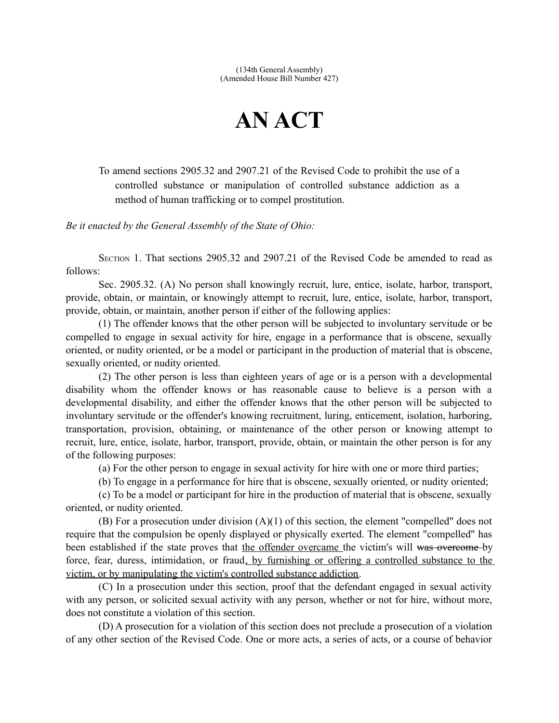## **AN ACT**

To amend sections 2905.32 and 2907.21 of the Revised Code to prohibit the use of a controlled substance or manipulation of controlled substance addiction as a method of human trafficking or to compel prostitution.

*Be it enacted by the General Assembly of the State of Ohio:*

SECTION 1. That sections 2905.32 and 2907.21 of the Revised Code be amended to read as follows:

Sec. 2905.32. (A) No person shall knowingly recruit, lure, entice, isolate, harbor, transport, provide, obtain, or maintain, or knowingly attempt to recruit, lure, entice, isolate, harbor, transport, provide, obtain, or maintain, another person if either of the following applies:

(1) The offender knows that the other person will be subjected to involuntary servitude or be compelled to engage in sexual activity for hire, engage in a performance that is obscene, sexually oriented, or nudity oriented, or be a model or participant in the production of material that is obscene, sexually oriented, or nudity oriented.

(2) The other person is less than eighteen years of age or is a person with a developmental disability whom the offender knows or has reasonable cause to believe is a person with a developmental disability, and either the offender knows that the other person will be subjected to involuntary servitude or the offender's knowing recruitment, luring, enticement, isolation, harboring, transportation, provision, obtaining, or maintenance of the other person or knowing attempt to recruit, lure, entice, isolate, harbor, transport, provide, obtain, or maintain the other person is for any of the following purposes:

(a) For the other person to engage in sexual activity for hire with one or more third parties;

(b) To engage in a performance for hire that is obscene, sexually oriented, or nudity oriented;

(c) To be a model or participant for hire in the production of material that is obscene, sexually oriented, or nudity oriented.

(B) For a prosecution under division (A)(1) of this section, the element "compelled" does not require that the compulsion be openly displayed or physically exerted. The element "compelled" has been established if the state proves that the offender overcame the victim's will was overcome by force, fear, duress, intimidation, or fraud, by furnishing or offering a controlled substance to the victim, or by manipulating the victim's controlled substance addiction.

(C) In a prosecution under this section, proof that the defendant engaged in sexual activity with any person, or solicited sexual activity with any person, whether or not for hire, without more, does not constitute a violation of this section.

(D) A prosecution for a violation of this section does not preclude a prosecution of a violation of any other section of the Revised Code. One or more acts, a series of acts, or a course of behavior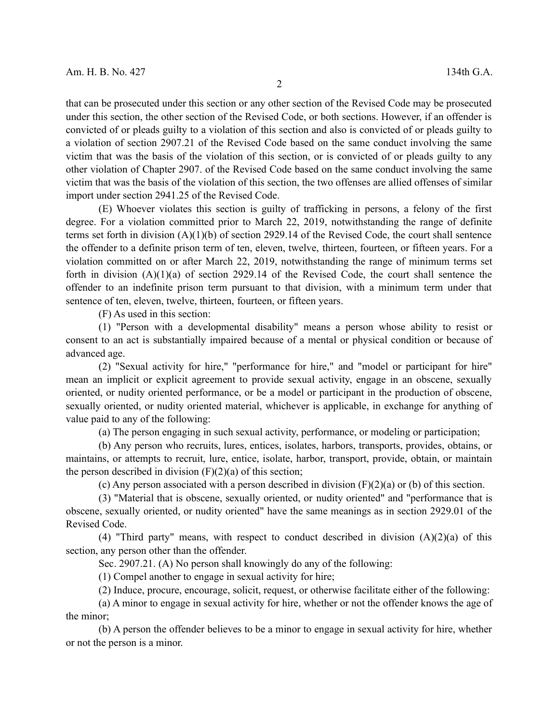that can be prosecuted under this section or any other section of the Revised Code may be prosecuted under this section, the other section of the Revised Code, or both sections. However, if an offender is convicted of or pleads guilty to a violation of this section and also is convicted of or pleads guilty to a violation of section 2907.21 of the Revised Code based on the same conduct involving the same victim that was the basis of the violation of this section, or is convicted of or pleads guilty to any other violation of Chapter 2907. of the Revised Code based on the same conduct involving the same victim that was the basis of the violation of this section, the two offenses are allied offenses of similar import under section 2941.25 of the Revised Code.

(E) Whoever violates this section is guilty of trafficking in persons, a felony of the first degree. For a violation committed prior to March 22, 2019, notwithstanding the range of definite terms set forth in division (A)(1)(b) of section 2929.14 of the Revised Code, the court shall sentence the offender to a definite prison term of ten, eleven, twelve, thirteen, fourteen, or fifteen years. For a violation committed on or after March 22, 2019, notwithstanding the range of minimum terms set forth in division  $(A)(1)(a)$  of section 2929.14 of the Revised Code, the court shall sentence the offender to an indefinite prison term pursuant to that division, with a minimum term under that sentence of ten, eleven, twelve, thirteen, fourteen, or fifteen years.

(F) As used in this section:

(1) "Person with a developmental disability" means a person whose ability to resist or consent to an act is substantially impaired because of a mental or physical condition or because of advanced age.

(2) "Sexual activity for hire," "performance for hire," and "model or participant for hire" mean an implicit or explicit agreement to provide sexual activity, engage in an obscene, sexually oriented, or nudity oriented performance, or be a model or participant in the production of obscene, sexually oriented, or nudity oriented material, whichever is applicable, in exchange for anything of value paid to any of the following:

(a) The person engaging in such sexual activity, performance, or modeling or participation;

(b) Any person who recruits, lures, entices, isolates, harbors, transports, provides, obtains, or maintains, or attempts to recruit, lure, entice, isolate, harbor, transport, provide, obtain, or maintain the person described in division  $(F)(2)(a)$  of this section;

(c) Any person associated with a person described in division  $(F)(2)(a)$  or (b) of this section.

(3) "Material that is obscene, sexually oriented, or nudity oriented" and "performance that is obscene, sexually oriented, or nudity oriented" have the same meanings as in section 2929.01 of the Revised Code.

(4) "Third party" means, with respect to conduct described in division  $(A)(2)(a)$  of this section, any person other than the offender.

Sec. 2907.21. (A) No person shall knowingly do any of the following:

(1) Compel another to engage in sexual activity for hire;

(2) Induce, procure, encourage, solicit, request, or otherwise facilitate either of the following:

(a) A minor to engage in sexual activity for hire, whether or not the offender knows the age of the minor;

(b) A person the offender believes to be a minor to engage in sexual activity for hire, whether or not the person is a minor.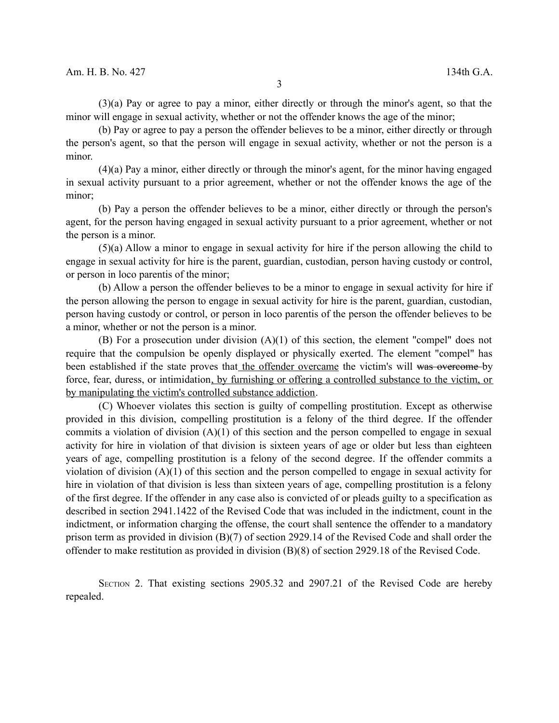(3)(a) Pay or agree to pay a minor, either directly or through the minor's agent, so that the minor will engage in sexual activity, whether or not the offender knows the age of the minor;

(b) Pay or agree to pay a person the offender believes to be a minor, either directly or through the person's agent, so that the person will engage in sexual activity, whether or not the person is a minor.

(4)(a) Pay a minor, either directly or through the minor's agent, for the minor having engaged in sexual activity pursuant to a prior agreement, whether or not the offender knows the age of the minor;

(b) Pay a person the offender believes to be a minor, either directly or through the person's agent, for the person having engaged in sexual activity pursuant to a prior agreement, whether or not the person is a minor.

(5)(a) Allow a minor to engage in sexual activity for hire if the person allowing the child to engage in sexual activity for hire is the parent, guardian, custodian, person having custody or control, or person in loco parentis of the minor;

(b) Allow a person the offender believes to be a minor to engage in sexual activity for hire if the person allowing the person to engage in sexual activity for hire is the parent, guardian, custodian, person having custody or control, or person in loco parentis of the person the offender believes to be a minor, whether or not the person is a minor.

(B) For a prosecution under division (A)(1) of this section, the element "compel" does not require that the compulsion be openly displayed or physically exerted. The element "compel" has been established if the state proves that the offender overcame the victim's will was overcome by force, fear, duress, or intimidation, by furnishing or offering a controlled substance to the victim, or by manipulating the victim's controlled substance addiction.

(C) Whoever violates this section is guilty of compelling prostitution. Except as otherwise provided in this division, compelling prostitution is a felony of the third degree. If the offender commits a violation of division (A)(1) of this section and the person compelled to engage in sexual activity for hire in violation of that division is sixteen years of age or older but less than eighteen years of age, compelling prostitution is a felony of the second degree. If the offender commits a violation of division  $(A)(1)$  of this section and the person compelled to engage in sexual activity for hire in violation of that division is less than sixteen years of age, compelling prostitution is a felony of the first degree. If the offender in any case also is convicted of or pleads guilty to a specification as described in section 2941.1422 of the Revised Code that was included in the indictment, count in the indictment, or information charging the offense, the court shall sentence the offender to a mandatory prison term as provided in division (B)(7) of section 2929.14 of the Revised Code and shall order the offender to make restitution as provided in division (B)(8) of section 2929.18 of the Revised Code.

SECTION 2. That existing sections 2905.32 and 2907.21 of the Revised Code are hereby repealed.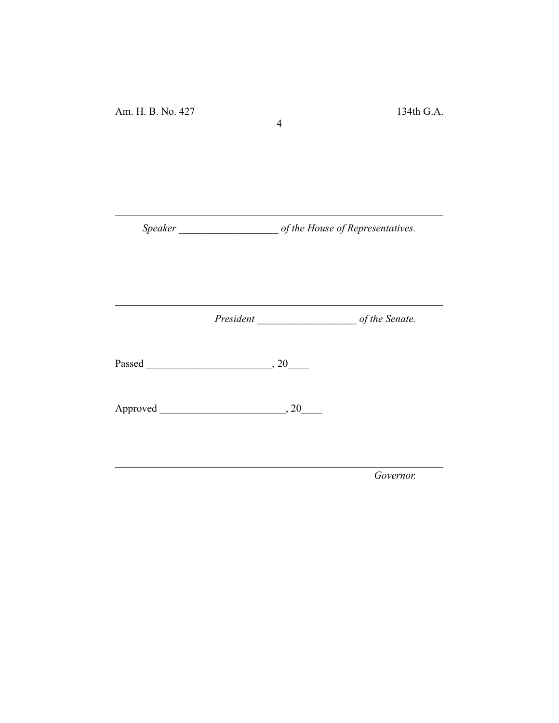*Speaker \_\_\_\_\_\_\_\_\_\_\_\_\_\_\_\_\_\_\_ of the House of Representatives.*

4

*President \_\_\_\_\_\_\_\_\_\_\_\_\_\_\_\_\_\_\_ of the Senate.*

Passed \_\_\_\_\_\_\_\_\_\_\_\_\_\_\_\_\_\_\_\_\_\_\_\_, 20\_\_\_\_

Approved \_\_\_\_\_\_\_\_\_\_\_\_\_\_\_\_\_\_\_\_\_\_\_\_, 20\_\_\_\_

*Governor.*